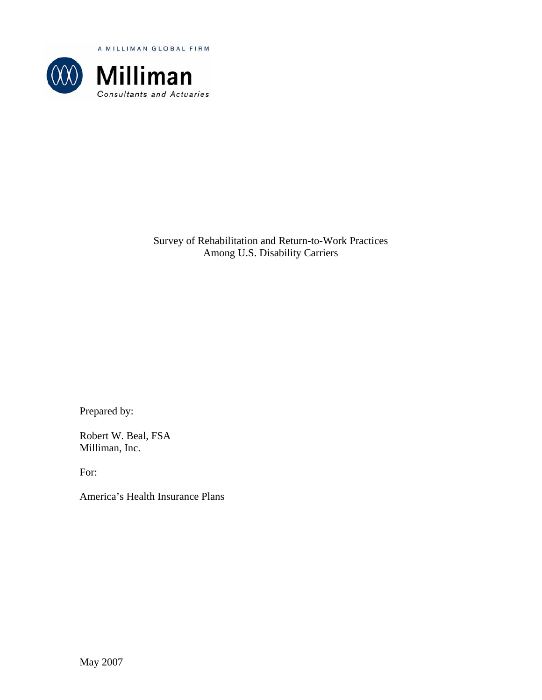A MILLIMAN GLOBAL FIRM



Survey of Rehabilitation and Return-to-Work Practices Among U.S. Disability Carriers

Prepared by:

Robert W. Beal, FSA Milliman, Inc.

For:

America's Health Insurance Plans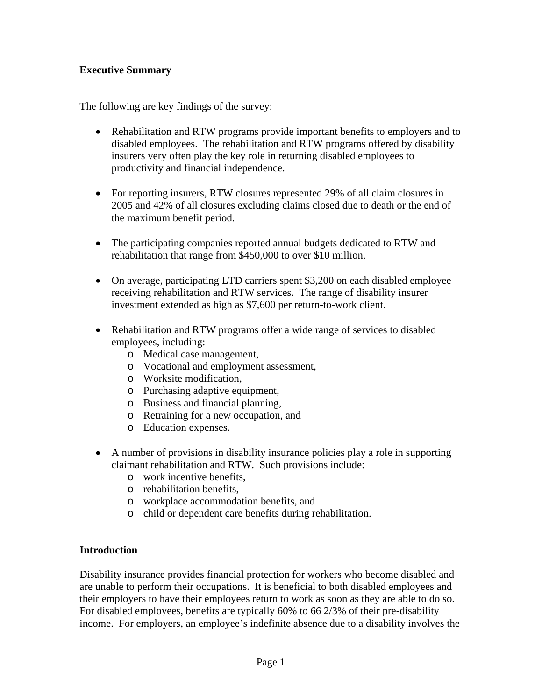## **Executive Summary**

The following are key findings of the survey:

- Rehabilitation and RTW programs provide important benefits to employers and to disabled employees. The rehabilitation and RTW programs offered by disability insurers very often play the key role in returning disabled employees to productivity and financial independence.
- For reporting insurers, RTW closures represented 29% of all claim closures in 2005 and 42% of all closures excluding claims closed due to death or the end of the maximum benefit period.
- The participating companies reported annual budgets dedicated to RTW and rehabilitation that range from \$450,000 to over \$10 million.
- On average, participating LTD carriers spent \$3,200 on each disabled employee receiving rehabilitation and RTW services. The range of disability insurer investment extended as high as \$7,600 per return-to-work client.
- Rehabilitation and RTW programs offer a wide range of services to disabled employees, including:
	- o Medical case management,
	- o Vocational and employment assessment,
	- o Worksite modification,
	- o Purchasing adaptive equipment,
	- o Business and financial planning,
	- o Retraining for a new occupation, and
	- o Education expenses.
- A number of provisions in disability insurance policies play a role in supporting claimant rehabilitation and RTW. Such provisions include:
	- o work incentive benefits,
	- o rehabilitation benefits,
	- o workplace accommodation benefits, and
	- o child or dependent care benefits during rehabilitation.

## **Introduction**

Disability insurance provides financial protection for workers who become disabled and are unable to perform their occupations. It is beneficial to both disabled employees and their employers to have their employees return to work as soon as they are able to do so. For disabled employees, benefits are typically 60% to 66 2/3% of their pre-disability income. For employers, an employee's indefinite absence due to a disability involves the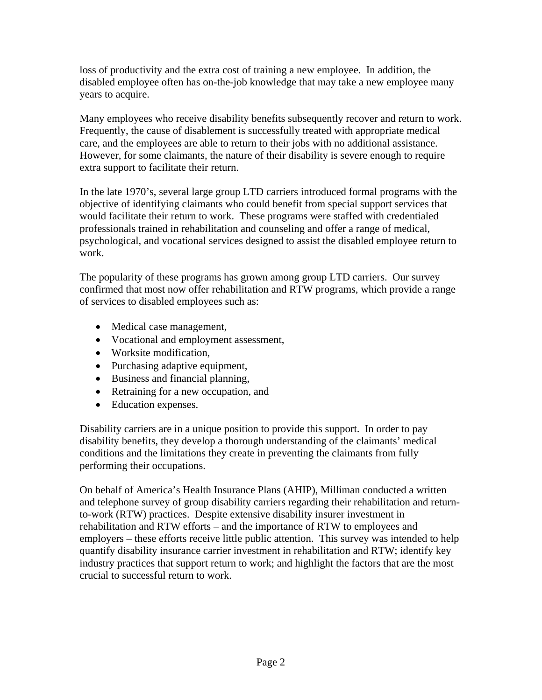loss of productivity and the extra cost of training a new employee. In addition, the disabled employee often has on-the-job knowledge that may take a new employee many years to acquire.

Many employees who receive disability benefits subsequently recover and return to work. Frequently, the cause of disablement is successfully treated with appropriate medical care, and the employees are able to return to their jobs with no additional assistance. However, for some claimants, the nature of their disability is severe enough to require extra support to facilitate their return.

In the late 1970's, several large group LTD carriers introduced formal programs with the objective of identifying claimants who could benefit from special support services that would facilitate their return to work. These programs were staffed with credentialed professionals trained in rehabilitation and counseling and offer a range of medical, psychological, and vocational services designed to assist the disabled employee return to work.

The popularity of these programs has grown among group LTD carriers. Our survey confirmed that most now offer rehabilitation and RTW programs, which provide a range of services to disabled employees such as:

- Medical case management,
- Vocational and employment assessment,
- Worksite modification.
- Purchasing adaptive equipment,
- Business and financial planning,
- Retraining for a new occupation, and
- Education expenses.

Disability carriers are in a unique position to provide this support. In order to pay disability benefits, they develop a thorough understanding of the claimants' medical conditions and the limitations they create in preventing the claimants from fully performing their occupations.

On behalf of America's Health Insurance Plans (AHIP), Milliman conducted a written and telephone survey of group disability carriers regarding their rehabilitation and returnto-work (RTW) practices. Despite extensive disability insurer investment in rehabilitation and RTW efforts – and the importance of RTW to employees and employers – these efforts receive little public attention. This survey was intended to help quantify disability insurance carrier investment in rehabilitation and RTW; identify key industry practices that support return to work; and highlight the factors that are the most crucial to successful return to work.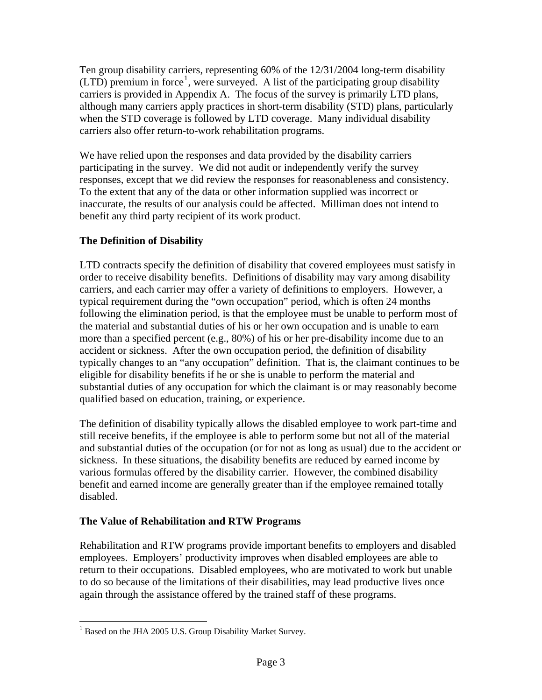Ten group disability carriers, representing 60% of the 12/31/2004 long-term disability  $(LTD)$  premium in force<sup>[1](#page-3-0)</sup>, were surveyed. A list of the participating group disability carriers is provided in Appendix A. The focus of the survey is primarily LTD plans, although many carriers apply practices in short-term disability (STD) plans, particularly when the STD coverage is followed by LTD coverage. Many individual disability carriers also offer return-to-work rehabilitation programs.

We have relied upon the responses and data provided by the disability carriers participating in the survey. We did not audit or independently verify the survey responses, except that we did review the responses for reasonableness and consistency. To the extent that any of the data or other information supplied was incorrect or inaccurate, the results of our analysis could be affected. Milliman does not intend to benefit any third party recipient of its work product.

# **The Definition of Disability**

LTD contracts specify the definition of disability that covered employees must satisfy in order to receive disability benefits. Definitions of disability may vary among disability carriers, and each carrier may offer a variety of definitions to employers. However, a typical requirement during the "own occupation" period, which is often 24 months following the elimination period, is that the employee must be unable to perform most of the material and substantial duties of his or her own occupation and is unable to earn more than a specified percent (e.g., 80%) of his or her pre-disability income due to an accident or sickness. After the own occupation period, the definition of disability typically changes to an "any occupation" definition. That is, the claimant continues to be eligible for disability benefits if he or she is unable to perform the material and substantial duties of any occupation for which the claimant is or may reasonably become qualified based on education, training, or experience.

The definition of disability typically allows the disabled employee to work part-time and still receive benefits, if the employee is able to perform some but not all of the material and substantial duties of the occupation (or for not as long as usual) due to the accident or sickness. In these situations, the disability benefits are reduced by earned income by various formulas offered by the disability carrier. However, the combined disability benefit and earned income are generally greater than if the employee remained totally disabled.

## **The Value of Rehabilitation and RTW Programs**

Rehabilitation and RTW programs provide important benefits to employers and disabled employees. Employers' productivity improves when disabled employees are able to return to their occupations. Disabled employees, who are motivated to work but unable to do so because of the limitations of their disabilities, may lead productive lives once again through the assistance offered by the trained staff of these programs.

 $\overline{a}$ 

<span id="page-3-0"></span><sup>&</sup>lt;sup>1</sup> Based on the JHA 2005 U.S. Group Disability Market Survey.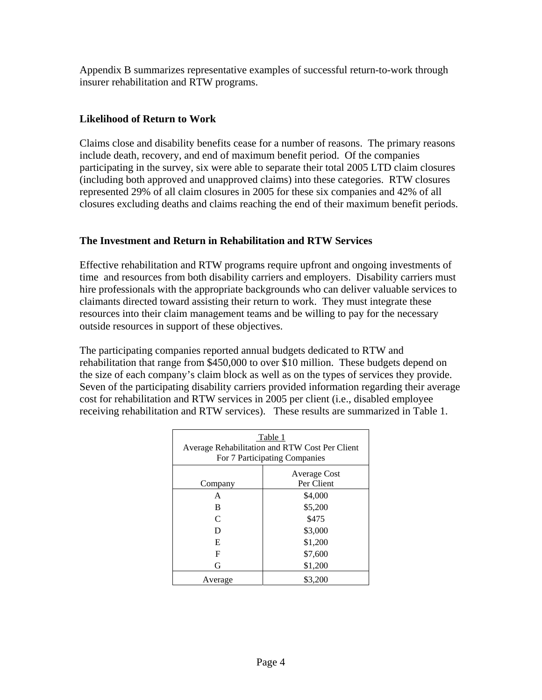Appendix B summarizes representative examples of successful return-to-work through insurer rehabilitation and RTW programs.

## **Likelihood of Return to Work**

Claims close and disability benefits cease for a number of reasons. The primary reasons include death, recovery, and end of maximum benefit period. Of the companies participating in the survey, six were able to separate their total 2005 LTD claim closures (including both approved and unapproved claims) into these categories. RTW closures represented 29% of all claim closures in 2005 for these six companies and 42% of all closures excluding deaths and claims reaching the end of their maximum benefit periods.

## **The Investment and Return in Rehabilitation and RTW Services**

Effective rehabilitation and RTW programs require upfront and ongoing investments of time and resources from both disability carriers and employers. Disability carriers must hire professionals with the appropriate backgrounds who can deliver valuable services to claimants directed toward assisting their return to work. They must integrate these resources into their claim management teams and be willing to pay for the necessary outside resources in support of these objectives.

The participating companies reported annual budgets dedicated to RTW and rehabilitation that range from \$450,000 to over \$10 million. These budgets depend on the size of each company's claim block as well as on the types of services they provide. Seven of the participating disability carriers provided information regarding their average cost for rehabilitation and RTW services in 2005 per client (i.e., disabled employee receiving rehabilitation and RTW services). These results are summarized in Table 1.

| Table 1<br>Average Rehabilitation and RTW Cost Per Client<br>For 7 Participating Companies |                            |  |
|--------------------------------------------------------------------------------------------|----------------------------|--|
| Company                                                                                    | Average Cost<br>Per Client |  |
| A                                                                                          | \$4,000                    |  |
| В                                                                                          | \$5,200                    |  |
| C                                                                                          | \$475                      |  |
| D                                                                                          | \$3,000                    |  |
| E                                                                                          | \$1,200                    |  |
| F                                                                                          | \$7,600                    |  |
| G                                                                                          | \$1,200                    |  |
| Average                                                                                    | \$3,200                    |  |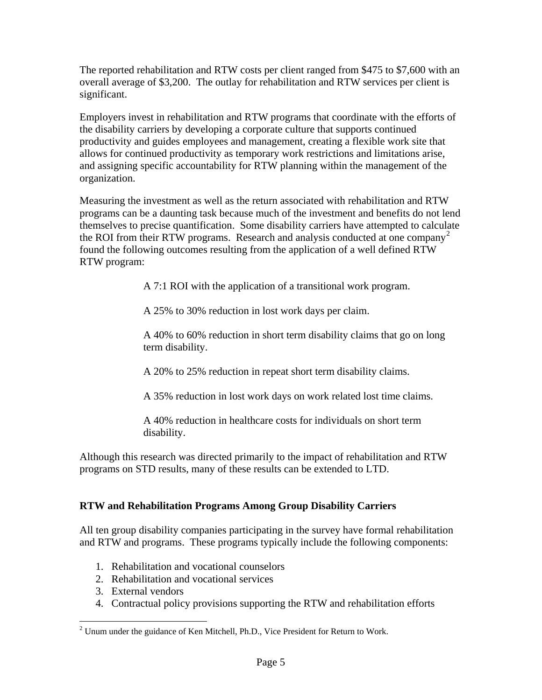The reported rehabilitation and RTW costs per client ranged from \$475 to \$7,600 with an overall average of \$3,200. The outlay for rehabilitation and RTW services per client is significant.

Employers invest in rehabilitation and RTW programs that coordinate with the efforts of the disability carriers by developing a corporate culture that supports continued productivity and guides employees and management, creating a flexible work site that allows for continued productivity as temporary work restrictions and limitations arise, and assigning specific accountability for RTW planning within the management of the organization.

Measuring the investment as well as the return associated with rehabilitation and RTW programs can be a daunting task because much of the investment and benefits do not lend themselves to precise quantification. Some disability carriers have attempted to calculate the ROI from their RTW programs. Research and analysis conducted at one company<sup>[2](#page-5-0)</sup> found the following outcomes resulting from the application of a well defined RTW RTW program:

A 7:1 ROI with the application of a transitional work program.

A 25% to 30% reduction in lost work days per claim.

A 40% to 60% reduction in short term disability claims that go on long term disability.

A 20% to 25% reduction in repeat short term disability claims.

A 35% reduction in lost work days on work related lost time claims.

A 40% reduction in healthcare costs for individuals on short term disability.

Although this research was directed primarily to the impact of rehabilitation and RTW programs on STD results, many of these results can be extended to LTD.

## **RTW and Rehabilitation Programs Among Group Disability Carriers**

All ten group disability companies participating in the survey have formal rehabilitation and RTW and programs. These programs typically include the following components:

- 1. Rehabilitation and vocational counselors
- 2. Rehabilitation and vocational services
- 3. External vendors

 $\overline{a}$ 

4. Contractual policy provisions supporting the RTW and rehabilitation efforts

<span id="page-5-0"></span> $2$  Unum under the guidance of Ken Mitchell, Ph.D., Vice President for Return to Work.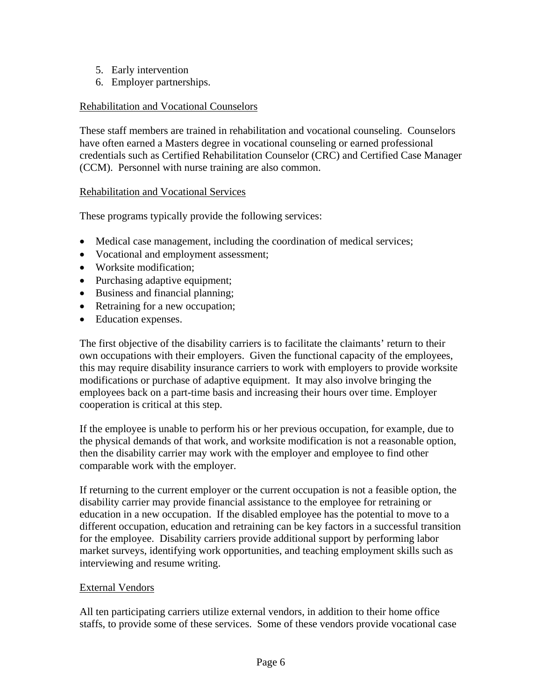- 5. Early intervention
- 6. Employer partnerships.

## Rehabilitation and Vocational Counselors

These staff members are trained in rehabilitation and vocational counseling. Counselors have often earned a Masters degree in vocational counseling or earned professional credentials such as Certified Rehabilitation Counselor (CRC) and Certified Case Manager (CCM). Personnel with nurse training are also common.

## Rehabilitation and Vocational Services

These programs typically provide the following services:

- Medical case management, including the coordination of medical services;
- Vocational and employment assessment;
- Worksite modification;
- Purchasing adaptive equipment;
- Business and financial planning;
- Retraining for a new occupation;
- Education expenses.

The first objective of the disability carriers is to facilitate the claimants' return to their own occupations with their employers. Given the functional capacity of the employees, this may require disability insurance carriers to work with employers to provide worksite modifications or purchase of adaptive equipment. It may also involve bringing the employees back on a part-time basis and increasing their hours over time. Employer cooperation is critical at this step.

If the employee is unable to perform his or her previous occupation, for example, due to the physical demands of that work, and worksite modification is not a reasonable option, then the disability carrier may work with the employer and employee to find other comparable work with the employer.

If returning to the current employer or the current occupation is not a feasible option, the disability carrier may provide financial assistance to the employee for retraining or education in a new occupation. If the disabled employee has the potential to move to a different occupation, education and retraining can be key factors in a successful transition for the employee. Disability carriers provide additional support by performing labor market surveys, identifying work opportunities, and teaching employment skills such as interviewing and resume writing.

## External Vendors

All ten participating carriers utilize external vendors, in addition to their home office staffs, to provide some of these services. Some of these vendors provide vocational case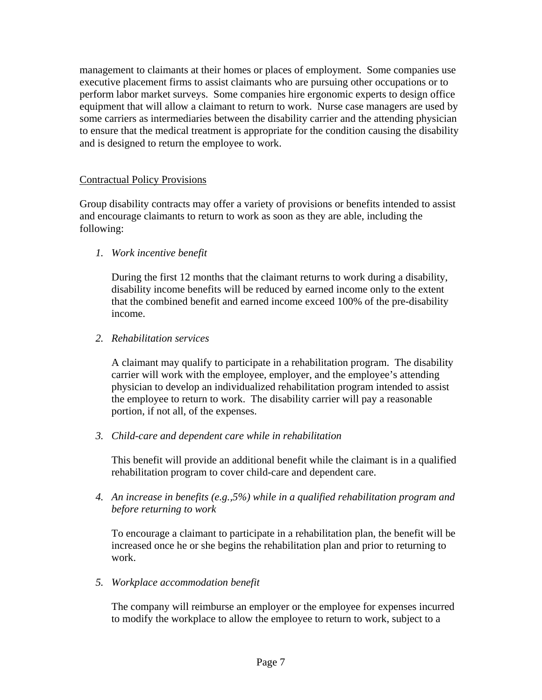management to claimants at their homes or places of employment. Some companies use executive placement firms to assist claimants who are pursuing other occupations or to perform labor market surveys. Some companies hire ergonomic experts to design office equipment that will allow a claimant to return to work. Nurse case managers are used by some carriers as intermediaries between the disability carrier and the attending physician to ensure that the medical treatment is appropriate for the condition causing the disability and is designed to return the employee to work.

#### Contractual Policy Provisions

Group disability contracts may offer a variety of provisions or benefits intended to assist and encourage claimants to return to work as soon as they are able, including the following:

*1. Work incentive benefit* 

During the first 12 months that the claimant returns to work during a disability, disability income benefits will be reduced by earned income only to the extent that the combined benefit and earned income exceed 100% of the pre-disability income.

*2. Rehabilitation services* 

A claimant may qualify to participate in a rehabilitation program. The disability carrier will work with the employee, employer, and the employee's attending physician to develop an individualized rehabilitation program intended to assist the employee to return to work. The disability carrier will pay a reasonable portion, if not all, of the expenses.

*3. Child-care and dependent care while in rehabilitation* 

This benefit will provide an additional benefit while the claimant is in a qualified rehabilitation program to cover child-care and dependent care.

*4. An increase in benefits (e.g.,5%) while in a qualified rehabilitation program and before returning to work* 

To encourage a claimant to participate in a rehabilitation plan, the benefit will be increased once he or she begins the rehabilitation plan and prior to returning to work.

*5. Workplace accommodation benefit* 

The company will reimburse an employer or the employee for expenses incurred to modify the workplace to allow the employee to return to work, subject to a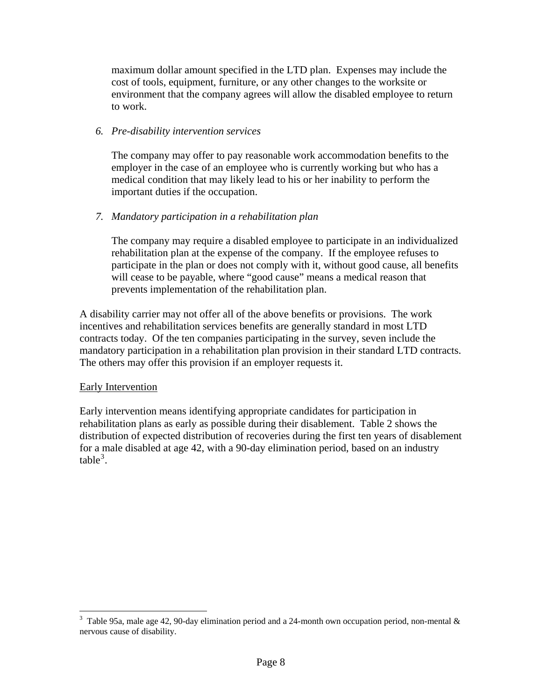maximum dollar amount specified in the LTD plan. Expenses may include the cost of tools, equipment, furniture, or any other changes to the worksite or environment that the company agrees will allow the disabled employee to return to work.

#### *6. Pre-disability intervention services*

The company may offer to pay reasonable work accommodation benefits to the employer in the case of an employee who is currently working but who has a medical condition that may likely lead to his or her inability to perform the important duties if the occupation.

#### *7. Mandatory participation in a rehabilitation plan*

The company may require a disabled employee to participate in an individualized rehabilitation plan at the expense of the company. If the employee refuses to participate in the plan or does not comply with it, without good cause, all benefits will cease to be payable, where "good cause" means a medical reason that prevents implementation of the rehabilitation plan.

A disability carrier may not offer all of the above benefits or provisions. The work incentives and rehabilitation services benefits are generally standard in most LTD contracts today. Of the ten companies participating in the survey, seven include the mandatory participation in a rehabilitation plan provision in their standard LTD contracts. The others may offer this provision if an employer requests it.

#### Early Intervention

 $\overline{a}$ 

Early intervention means identifying appropriate candidates for participation in rehabilitation plans as early as possible during their disablement. Table 2 shows the distribution of expected distribution of recoveries during the first ten years of disablement for a male disabled at age 42, with a 90-day elimination period, based on an industry  $table<sup>3</sup>$  $table<sup>3</sup>$  $table<sup>3</sup>$ .

<span id="page-8-0"></span><sup>&</sup>lt;sup>3</sup> Table 95a, male age 42, 90-day elimination period and a 24-month own occupation period, non-mental  $\&$ nervous cause of disability.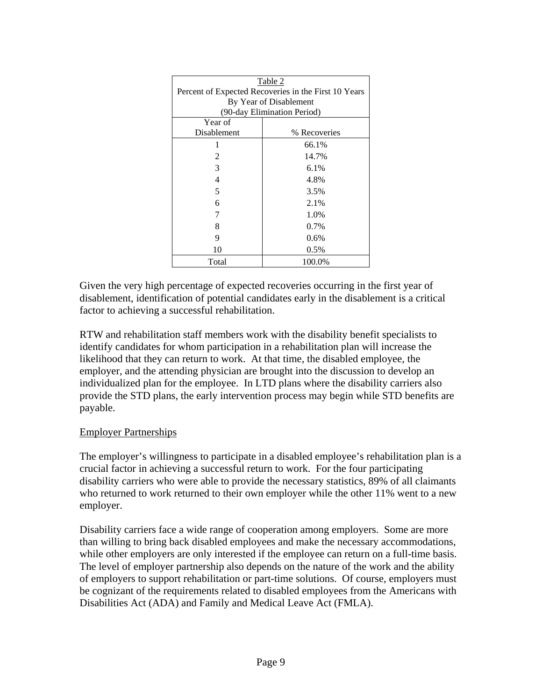| Table 2                                              |              |  |
|------------------------------------------------------|--------------|--|
| Percent of Expected Recoveries in the First 10 Years |              |  |
| By Year of Disablement                               |              |  |
| (90-day Elimination Period)                          |              |  |
| Year of                                              |              |  |
| Disablement                                          | % Recoveries |  |
|                                                      | 66.1%        |  |
| 2                                                    | 14.7%        |  |
| 3                                                    | 6.1%         |  |
| 4                                                    | 4.8%         |  |
| 5                                                    | 3.5%         |  |
| 6                                                    | 2.1%         |  |
|                                                      | 1.0%         |  |
| 8                                                    | 0.7%         |  |
| 9                                                    | $0.6\%$      |  |
| 10                                                   | $0.5\%$      |  |
| Total                                                | 100.0%       |  |

Given the very high percentage of expected recoveries occurring in the first year of disablement, identification of potential candidates early in the disablement is a critical factor to achieving a successful rehabilitation.

RTW and rehabilitation staff members work with the disability benefit specialists to identify candidates for whom participation in a rehabilitation plan will increase the likelihood that they can return to work. At that time, the disabled employee, the employer, and the attending physician are brought into the discussion to develop an individualized plan for the employee. In LTD plans where the disability carriers also provide the STD plans, the early intervention process may begin while STD benefits are payable.

## Employer Partnerships

The employer's willingness to participate in a disabled employee's rehabilitation plan is a crucial factor in achieving a successful return to work. For the four participating disability carriers who were able to provide the necessary statistics, 89% of all claimants who returned to work returned to their own employer while the other 11% went to a new employer.

Disability carriers face a wide range of cooperation among employers. Some are more than willing to bring back disabled employees and make the necessary accommodations, while other employers are only interested if the employee can return on a full-time basis. The level of employer partnership also depends on the nature of the work and the ability of employers to support rehabilitation or part-time solutions. Of course, employers must be cognizant of the requirements related to disabled employees from the Americans with Disabilities Act (ADA) and Family and Medical Leave Act (FMLA).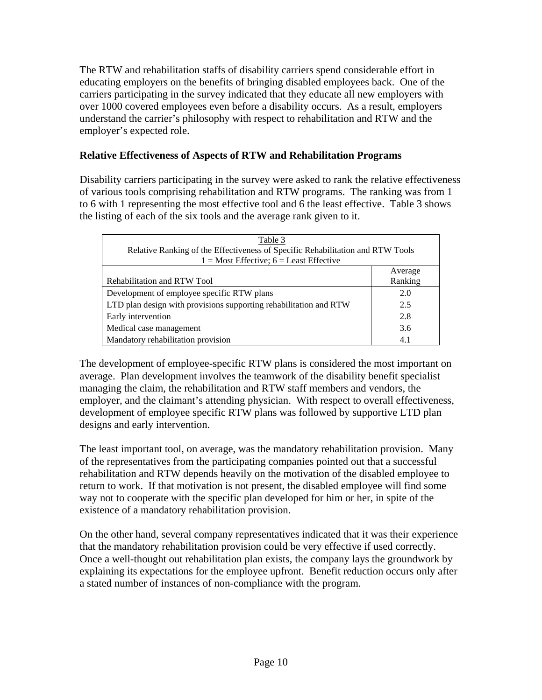The RTW and rehabilitation staffs of disability carriers spend considerable effort in educating employers on the benefits of bringing disabled employees back. One of the carriers participating in the survey indicated that they educate all new employers with over 1000 covered employees even before a disability occurs. As a result, employers understand the carrier's philosophy with respect to rehabilitation and RTW and the employer's expected role.

## **Relative Effectiveness of Aspects of RTW and Rehabilitation Programs**

Disability carriers participating in the survey were asked to rank the relative effectiveness of various tools comprising rehabilitation and RTW programs. The ranking was from 1 to 6 with 1 representing the most effective tool and 6 the least effective. Table 3 shows the listing of each of the six tools and the average rank given to it.

| Table 3<br>Relative Ranking of the Effectiveness of Specific Rehabilitation and RTW Tools<br>$1 = Most Effective; 6 = Least Effective$ |         |  |
|----------------------------------------------------------------------------------------------------------------------------------------|---------|--|
|                                                                                                                                        | Average |  |
| Rehabilitation and RTW Tool                                                                                                            | Ranking |  |
| Development of employee specific RTW plans                                                                                             | 2.0     |  |
| LTD plan design with provisions supporting rehabilitation and RTW                                                                      | 2.5     |  |
| Early intervention                                                                                                                     | 2.8     |  |
| Medical case management                                                                                                                | 3.6     |  |
| Mandatory rehabilitation provision                                                                                                     | 4.1     |  |

The development of employee-specific RTW plans is considered the most important on average. Plan development involves the teamwork of the disability benefit specialist managing the claim, the rehabilitation and RTW staff members and vendors, the employer, and the claimant's attending physician. With respect to overall effectiveness, development of employee specific RTW plans was followed by supportive LTD plan designs and early intervention.

The least important tool, on average, was the mandatory rehabilitation provision. Many of the representatives from the participating companies pointed out that a successful rehabilitation and RTW depends heavily on the motivation of the disabled employee to return to work. If that motivation is not present, the disabled employee will find some way not to cooperate with the specific plan developed for him or her, in spite of the existence of a mandatory rehabilitation provision.

On the other hand, several company representatives indicated that it was their experience that the mandatory rehabilitation provision could be very effective if used correctly. Once a well-thought out rehabilitation plan exists, the company lays the groundwork by explaining its expectations for the employee upfront. Benefit reduction occurs only after a stated number of instances of non-compliance with the program.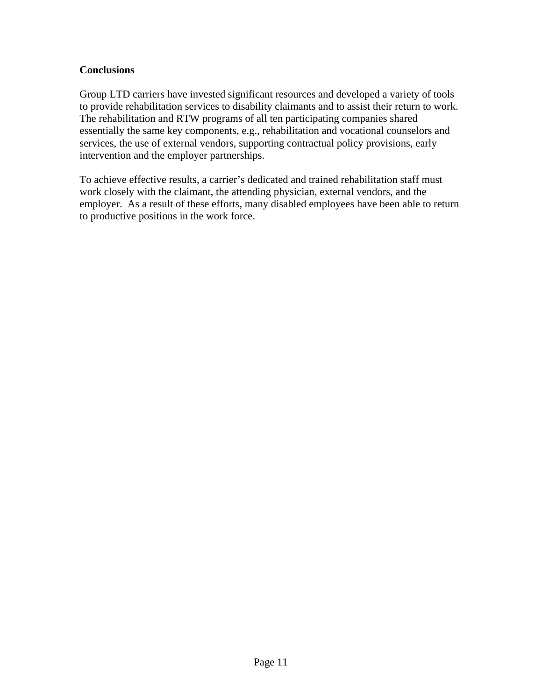## **Conclusions**

Group LTD carriers have invested significant resources and developed a variety of tools to provide rehabilitation services to disability claimants and to assist their return to work. The rehabilitation and RTW programs of all ten participating companies shared essentially the same key components, e.g., rehabilitation and vocational counselors and services, the use of external vendors, supporting contractual policy provisions, early intervention and the employer partnerships.

To achieve effective results, a carrier's dedicated and trained rehabilitation staff must work closely with the claimant, the attending physician, external vendors, and the employer. As a result of these efforts, many disabled employees have been able to return to productive positions in the work force.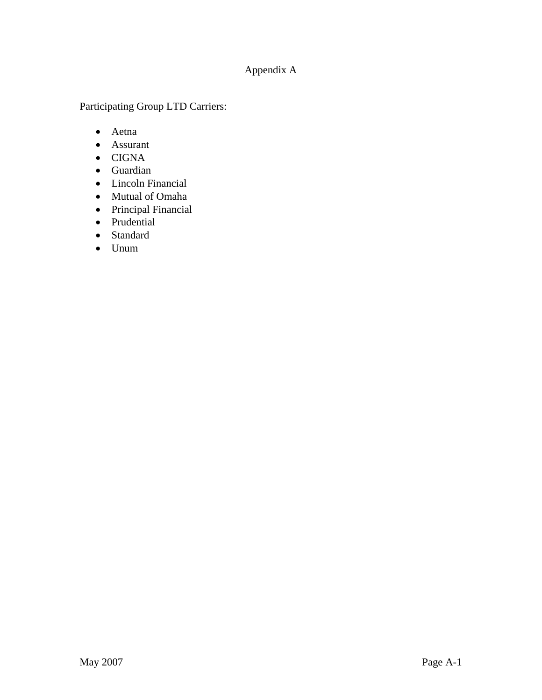# Appendix A

Participating Group LTD Carriers:

- Aetna
- Assurant
- CIGNA
- Guardian
- Lincoln Financial
- Mutual of Omaha
- Principal Financial
- Prudential
- Standard
- Unum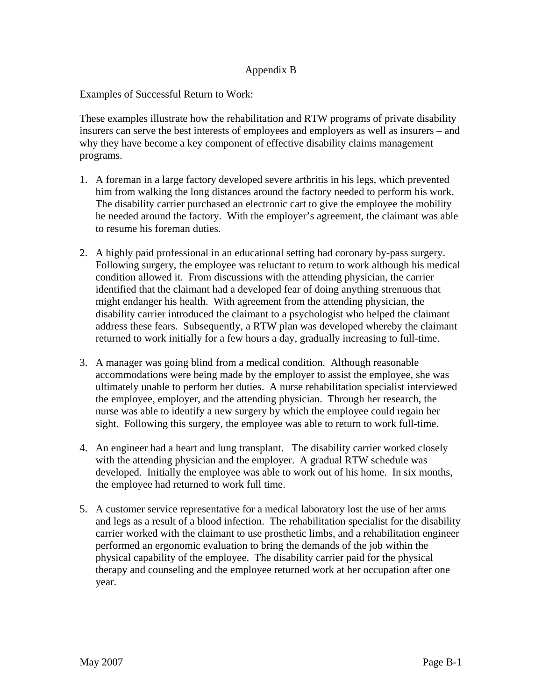#### Appendix B

Examples of Successful Return to Work:

These examples illustrate how the rehabilitation and RTW programs of private disability insurers can serve the best interests of employees and employers as well as insurers – and why they have become a key component of effective disability claims management programs.

- 1. A foreman in a large factory developed severe arthritis in his legs, which prevented him from walking the long distances around the factory needed to perform his work. The disability carrier purchased an electronic cart to give the employee the mobility he needed around the factory. With the employer's agreement, the claimant was able to resume his foreman duties.
- 2. A highly paid professional in an educational setting had coronary by-pass surgery. Following surgery, the employee was reluctant to return to work although his medical condition allowed it. From discussions with the attending physician, the carrier identified that the claimant had a developed fear of doing anything strenuous that might endanger his health. With agreement from the attending physician, the disability carrier introduced the claimant to a psychologist who helped the claimant address these fears. Subsequently, a RTW plan was developed whereby the claimant returned to work initially for a few hours a day, gradually increasing to full-time.
- 3. A manager was going blind from a medical condition. Although reasonable accommodations were being made by the employer to assist the employee, she was ultimately unable to perform her duties. A nurse rehabilitation specialist interviewed the employee, employer, and the attending physician. Through her research, the nurse was able to identify a new surgery by which the employee could regain her sight. Following this surgery, the employee was able to return to work full-time.
- 4. An engineer had a heart and lung transplant. The disability carrier worked closely with the attending physician and the employer. A gradual RTW schedule was developed. Initially the employee was able to work out of his home. In six months, the employee had returned to work full time.
- 5. A customer service representative for a medical laboratory lost the use of her arms and legs as a result of a blood infection. The rehabilitation specialist for the disability carrier worked with the claimant to use prosthetic limbs, and a rehabilitation engineer performed an ergonomic evaluation to bring the demands of the job within the physical capability of the employee. The disability carrier paid for the physical therapy and counseling and the employee returned work at her occupation after one year.